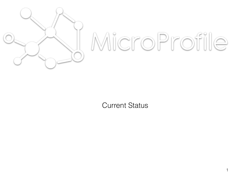

# MicroProfile

1

Current Status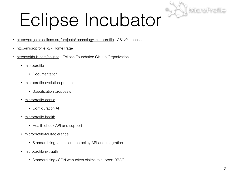

### Eclipse Incubator

- <https://projects.eclipse.org/projects/technology.microprofile> ASLv2 License
- <http://microprofile.io/> Home Page
- <https://github.com/eclipse> Eclipse Foundation GitHub Organization
	- [microprofile](https://github.com/eclipse/microprofile)
		- Documentation
	- [microprofile-evolution-process](https://github.com/eclipse/microprofile-evolution-process)
		- Specification proposals
	- [microprofile-config](https://github.com/eclipse/microprofile-config)
		- Configuration API
	- [microprofile-health](https://github.com/eclipse/microprofile-health)
		- Health check API and support
	- [microprofile-fault-tolerance](https://github.com/eclipse/)
		- Standardizing fault tolerance policy API and integration
	- microprofile-jwt-auth
		- Standardizing JSON web token claims to support RBAC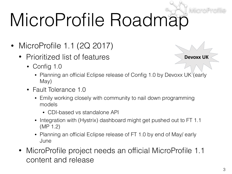# MicroProfile Roadmap

- MicroProfile 1.1 (2Q 2017)
	- Prioritized list of features
		- Config 1.0
- **Devoxx UK**
- Planning an official Eclipse release of Config 1.0 by Devoxx UK<sup>V</sup> (early May)
- Fault Tolerance 1.0
	- Emily working closely with community to nail down programming models
		- CDI-based vs standalone API
	- Integration with (Hystrix) dashboard might get pushed out to FT 1.1 (MP 1.2)
	- Planning an official Eclipse release of FT 1.0 by end of May/ early June
- MicroProfile project needs an official MicroProfile 1.1 content and release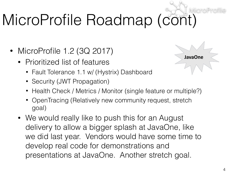### MicroProfile Roadmap (cont)

- MicroProfile 1.2 (3Q 2017)
	- Prioritized list of features
		- Fault Tolerance 1.1 w/ (Hystrix) Dashboard
		- Security (JWT Propagation)
		- Health Check / Metrics / Monitor (single feature or multiple?)
		- OpenTracing (Relatively new community request, stretch goal)
	- We would really like to push this for an August delivery to allow a bigger splash at JavaOne, like we did last year. Vendors would have some time to develop real code for demonstrations and presentations at JavaOne. Another stretch goal.



**JavaOne**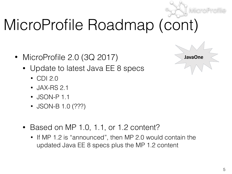

#### MicroProfile Roadmap (cont)

- MicroProfile 2.0 (3Q 2017)
	- Update to latest Java EE 8 specs
		- CDI 2.0
		- JAX-RS 2.1
		- JSON-P 1.1
		- JSON-B 1.0 (???)
	- Based on MP 1.0, 1.1, or 1.2 content?
		- If MP 1.2 is "announced", then MP 2.0 would contain the updated Java EE 8 specs plus the MP 1.2 content

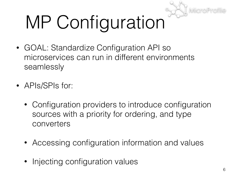

# MP Configuration

- GOAL: Standardize Configuration API so microservices can run in different environments seamlessly
- APIs/SPIs for:
	- Configuration providers to introduce configuration sources with a priority for ordering, and type converters
	- Accessing configuration information and values
	- Injecting configuration values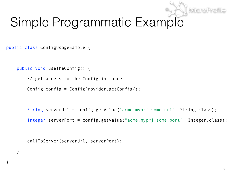#### Simple Programmatic Example

public class ConfigUsageSample {

}

}

```
 public void useTheConfig() {
```
// get access to the Config instance

Config config = ConfigProvider.getConfig();

String serverUrl = config.getValue("acme.myprj.some.url", String.class);

Integer serverPort = config.getValue("acme.myprj.some.port", Integer.class);

callToServer(serverUrl, serverPort);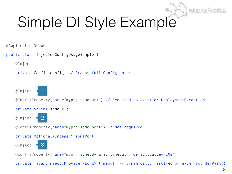#### Simple DI Style Example

@ApplicationScoped

```
public class InjectedConfigUsageSample { 
     @Inject
     private Config config; // Access full Config object
     @Inject
     @ConfigProperty(name="myprj.some.url") // Required to exist or DeploymentException
     private String someUrl;
     @Inject
     @ConfigProperty(name="myprj.some.port") // Not required
     private Optional<Integer> somePort; 
     @Inject
     @ConfigProperty(name="myprj.some.dynamic.timeout", defaultValue="100") 
                1
                2
               3
```
private javax.inject.Provider<Long> timeout; // Dynamically resolved on each Provider#get()

MicroP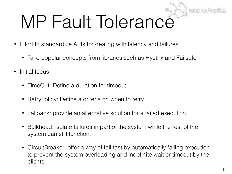# MP Fault Tolerance

- Effort to standardize APIs for dealing with latency and failures
	- Take popular concepts from libraries such as Hystrix and Failsafe
- Initial focus
	- TimeOut: Define a duration for timeout
	- RetryPolicy: Define a criteria on when to retry
	- Fallback: provide an alternative solution for a failed execution.
	- Bulkhead: isolate failures in part of the system while the rest of the system can still function.
	- CircuitBreaker: offer a way of fail fast by automatically failing execution to prevent the system overloading and indefinite wait or timeout by the clients.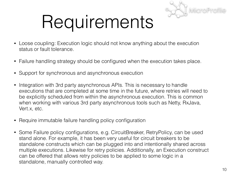

### Requirements

- Loose coupling: Execution logic should not know anything about the execution status or fault tolerance.
- Failure handling strategy should be configured when the execution takes place.
- Support for synchronous and asynchronous execution
- Integration with 3rd party asynchronous APIs. This is necessary to handle executions that are completed at some time in the future, where retries will need to be explicitly scheduled from within the asynchronous execution. This is common when working with various 3rd party asynchronous tools such as Netty, RxJava, Vert.x, etc.
- Require immutable failure handling policy configuration
- Some Failure policy configurations, e.g. CircuitBreaker, RetryPolicy, can be used stand alone. For example, it has been very useful for circuit breakers to be standalone constructs which can be plugged into and intentionally shared across multiple executions. Likewise for retry policies. Additionally, an Execution construct can be offered that allows retry policies to be applied to some logic in a standalone, manually controlled way.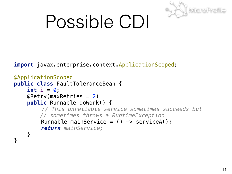

### Possible CDI

**import** javax.enterprise.context.ApplicationScoped;

```
@ApplicationScoped 
public class FaultToleranceBean { 
     int i = 0; 
    @Retry(maxRetries = 2) public Runnable doWork() {
         // This unreliable service sometimes succeeds but 
         // sometimes throws a RuntimeException 
         Runnable mainService = () \rightarrow serviceA();
          return mainService; 
    }<br>}
}
```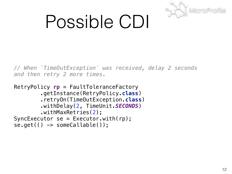

### Possible CDI

*// When `TimeOutException` was received, delay 2 seconds and then retry 2 more times.* 

```
RetryPolicy rp = FaultToleranceFactory
         .getInstance(RetryPolicy.class)
         .retryOn(TimeOutException.class) 
         .withDelay(2, TimeUnit.SECONDS) 
         .withMaxRetries(2);
SyncExecutor se = Executor.util(np);
se.get(() -> someCallable());
```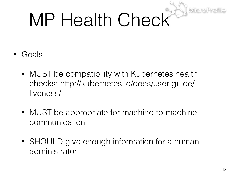# MP Health Check

- Goals
	- MUST be compatibility with Kubernetes health checks: http://kubernetes.io/docs/user-guide/ liveness/
	- MUST be appropriate for machine-to-machine communication
	- SHOULD give enough information for a human administrator

MicroP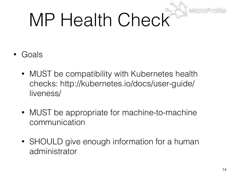# MP Health Check

- Goals
	- MUST be compatibility with Kubernetes health checks: http://kubernetes.io/docs/user-guide/ liveness/
	- MUST be appropriate for machine-to-machine communication
	- SHOULD give enough information for a human administrator

MicroP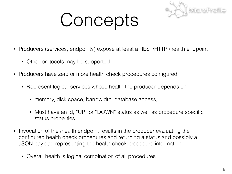

### Concepts

- Producers (services, endpoints) expose at least a REST/HTTP /health endpoint
	- Other protocols may be supported
- Producers have zero or more health check procedures configured
	- Represent logical services whose health the producer depends on
		- memory, disk space, bandwidth, database access, ...
		- Must have an id, "UP" or "DOWN" status as well as procedure specific status properties
- Invocation of the /health endpoint results in the producer evaluating the configured health check procedures and returning a status and possibly a JSON payload representing the health check procedure information
	- Overall health is logical combination of all procedures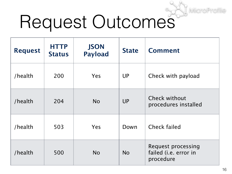# Request Outcomes

| <b>Request</b> | <b>HTTP</b><br><b>Status</b> | <b>JSON</b><br><b>Payload</b> | <b>State</b> | <b>Comment</b>                                                  |
|----------------|------------------------------|-------------------------------|--------------|-----------------------------------------------------------------|
| /health        | 200                          | Yes                           | <b>UP</b>    | Check with payload                                              |
| /health        | 204                          | <b>No</b>                     | <b>UP</b>    | <b>Check without</b><br>procedures installed                    |
| /health        | 503                          | Yes                           | Down         | <b>Check failed</b>                                             |
| /health        | 500                          | <b>No</b>                     | <b>No</b>    | <b>Request processing</b><br>failed (i.e. error in<br>procedure |

MicroPr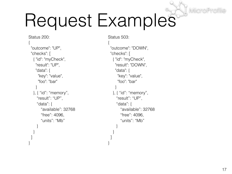## Request Examples

```
Status 200:
{ 
  "outcome": "UP", 
  "checks": [ 
    { "id": "myCheck", 
     "result": "UP", 
     "data": { 
      "key": "value", 
      "foo": "bar" 
 } 
    }, { "id": "memory", 
     "result": "UP", 
     "data": { 
       "available": 32768
       "free": 4096, 
       "units": "Mb" 
     } 
 }
\Box
```
}

```
Status 503:
{ 
  "outcome": "DOWN", 
  "checks": [ 
    { "id": "myCheck", 
     "result": "DOWN", 
     "data": { 
       "key": "value", 
       "foo": "bar" 
 } 
    }, { "id": "memory", 
     "result": "UP", 
     "data": { 
       "available": 32768
       "free": 4096, 
       "units": "Mb" 
     } 
 }
```
 $\Box$ 

}

MicroProfi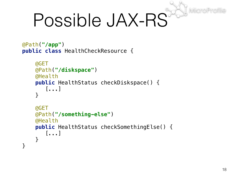## Possible JAX-RS

```
@Path("/app") 
public class HealthCheckResource {
```

```
 @GET 
 @Path("/diskspace") 
 @Health 
 public HealthStatus checkDiskspace() { 
    [...] 
 } 
 @GET 
 @Path("/something-else") 
 @Health 
 public HealthStatus checkSomethingElse() { 
    [...]
```
}

}

MicroPro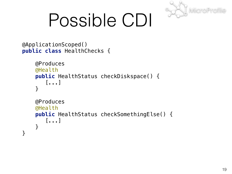

### Possible CDI

```
@ApplicationScoped() 
public class HealthChecks { 
     @Produces 
     @Health 
     public HealthStatus checkDiskspace() { 
         [...] 
      } 
     @Produces 
     @Health 
     public HealthStatus checkSomethingElse() { 
         [...] 
      } 
}
```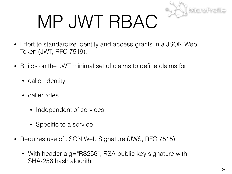

### MP JWT RBAC

- Effort to standardize identity and access grants in a JSON Web Token (JWT, RFC 7519).
- Builds on the JWT minimal set of claims to define claims for:
	- caller identity
	- caller roles
		- Independent of services
		- Specific to a service
- Requires use of JSON Web Signature (JWS, RFC 7515)
	- With header alg="RS256"; RSA public key signature with SHA-256 hash algorithm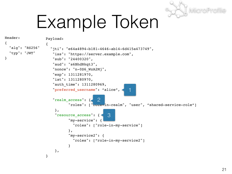

### Example Token

```
Header:
{
   "alg": "RS256"
   "typ": "JWT"
}
                   Payload:
                   {
                      "jti": "e64a4894-b181-4646-ab14-6d415a473749",
                       "iss": "https://server.example.com",
                       "sub": "24400320",
                       "aud": "s6BhdRkqt3",
                       "nonce": "n-0S6_WzA2Mj",
                       "exp": 1311281970,
                       "iat": 1311280970,
                       "auth_time": 1311280969,
                       "preferred_username": "alice",
                       "realm_access": {
                               "roles": ["role-in-realm", "user", "shared-service-role"]
                        },
                        "resource_access": {
                               "my-service": {
                                 "roles": ["role-in-my-service"]
                               },
                               "my-service2": {
                                 "roles": ["role-in-my-service2"]
                    }
                        },
                   }
                                                          1
                                          2
                                                3
```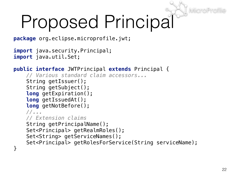### Proposed Principal

**package** org.eclipse.microprofile.jwt;

```
import java.security.Principal;
import java.util.Set;
```

```
public interface JWTPrincipal extends Principal { 
     // Various standard claim accessors... 
    String getIssuer();
     String getSubject(); 
     long getExpiration(); 
     long getIssuedAt(); 
     long getNotBefore(); 
     //... 
     // Extension claims 
    String getPrincipalName();
    Set<Principal> getRealmRoles();
    Set<String> getServiceNames();
    Set<Principal> getRolesForService(String serviceName);
}
```
MicroP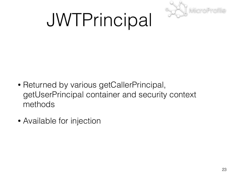

### JWTPrincipal

- Returned by various getCallerPrincipal, getUserPrincipal container and security context methods
- Available for injection